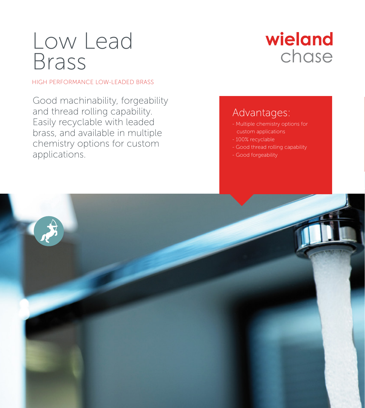# Low Lead Brass

HIGH PERFORMANCE LOW-LEADED BRASS

Good machinability, forgeability and thread rolling capability. Easily recyclable with leaded brass, and available in multiple chemistry options for custom applications.

## wieland chase

### Advantages:

- Multiple chemistry options for custom applications
- 100% recyclable
- Good thread rolling capability
- Good forgeability

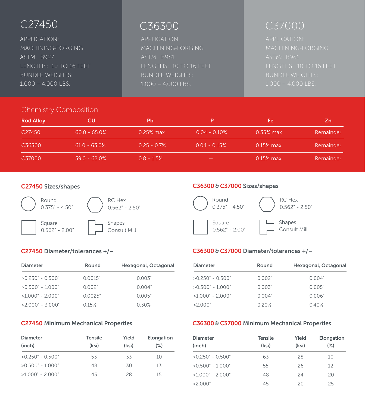APPLICATION: MACHINING-FORGING ASTM: B927 LENGTHS: 10 TO 16 FEET BUNDLE WEIGHTS: 1,000 – 4,000 LBS.

APPLICATION: MACHINING-FORGING ASTM: B981 LENGTHS: 10 TO 16 FEET BUNDLE WEIGHTS: 1,000 – 4,000 LBS.

## C36300 C27450 C37000

ASTM: B981 BUNDLE WEIGHTS: 1,000 – 4,000 LBS.

### Chemistry Composition

| <b>Rod Alloy</b>   | СU              | Pb            | p               | Fe           | Ζn        |
|--------------------|-----------------|---------------|-----------------|--------------|-----------|
| C <sub>27450</sub> | $60.0 - 65.0%$  | $0.25\%$ max  | $0.04 - 0.10\%$ | $0.35\%$ max | Remainder |
| C36300             | $61.0 - 63.0\%$ | $0.25 - 0.7%$ | $0.04 - 0.15%$  | $0.15\%$ max | Remainder |
| C37000             | $59.0 - 62.0\%$ | $0.8 - 1.5%$  |                 | $0.15\%$ max | Remainder |

#### C27450 Sizes/shapes



### C27450 Diameter/tolerances +/-

| Diameter            | Round   | Hexagonal, Octagonal |
|---------------------|---------|----------------------|
| $>0.250$ " - 0.500" | 0.0015" | 0.003"               |
| $>0.500" - 1.000"$  | 0.002"  | 0.004"               |
| $>1.000" - 2.000"$  | 0.0025" | 0.005"               |
| $>2.000" - 3.000"$  | 0.15%   | 0.30%                |

#### C27450 Minimum Mechanical Properties

| <b>Diameter</b><br>(inch) | <b>Tensile</b><br>(ksi) | Yield<br>(ksi) | Elongation<br>$(\%)$ |
|---------------------------|-------------------------|----------------|----------------------|
| $>0.250" - 0.500"$        | 53                      | 33             | 10                   |
| $>0.500" - 1.000"$        | 48                      | 30             | 13                   |
| $>1.000" - 2.000"$        | 43                      | 28             | 15                   |

#### C36300&C37000 Sizes/shapes



### C36300&C37000 Diameter/tolerances + − / /

| <b>Diameter</b>    | Round  | Hexagonal, Octagonal |
|--------------------|--------|----------------------|
| $>0.250" - 0.500"$ | 0.002" | 0.004"               |
| $>0.500" - 1.000"$ | 0.003" | 0.005"               |
| $>1.000" - 2.000"$ | 0.004" | 0.006"               |
| >2.000"            | 0.20%  | 0.40%                |

### C36300 & C37000 Minimum Mechanical Properties

| Diameter<br>(inch) | Tensile<br>(ksi) | Yield<br>(ksi) | Elongation<br>$(\%)$ |
|--------------------|------------------|----------------|----------------------|
| $>0.250" - 0.500"$ | 63               | 28             | 10                   |
| $>0.500" - 1.000"$ | 55               | 26             | 12                   |
| $>1.000" - 2.000"$ | 48               | 24             | 20                   |
| >2.000"            | 45               | 20             | 25                   |